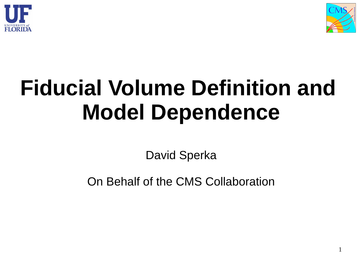



### **Fiducial Volume Definition and Model Dependence**

David Sperka

On Behalf of the CMS Collaboration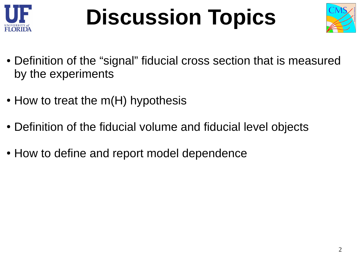

## **Discussion Topics**



- Definition of the "signal" fiducial cross section that is measured by the experiments
- $\bullet$  How to treat the m(H) hypothesis
- Definition of the fiducial volume and fiducial level objects
- How to define and report model dependence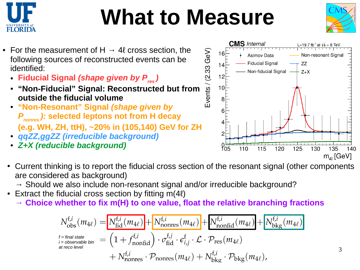

### **What to Measure**



- For the measurement of H  $\rightarrow$  4l cross section, the following sources of reconstructed events can be identified:
	- **Fiducial Signal** *(shape given by Pres )*
	- $E$ vents / (2.33 GeV) ● **"Non-Fiducial" Signal: Reconstructed but from outside the fiducial volume**
	- **"Non-Resonant" Signal** *(shape given by P nonres ):* **selected leptons not from H decay (e.g. WH, ZH, ttH), ~20% in (105,140) GeV for ZH**
	- *qqZZ,ggZZ (irreducible background)*
	- *Z+X (reducible background)*



- Current thinking is to report the fiducial cross section of the resonant signal (other components are considered as background)
	- $\rightarrow$  Should we also include non-resonant signal and/or irreducible background?
- Extract the fiducial cross section by fitting  $m(4\ell)$ 
	- **→ Choice whether to fix m(H) to one value, float the relative branching fractions**

$$
N_{obs}^{f,i}(m_{4\ell}) = N_{fid}^{f,i}(m_{4\ell}) + N_{nonres}^{f,i}(m_{4\ell}) + N_{nonfid}^{f,i}(m_{4\ell}) + N_{bkg}^{f,i}(m_{4\ell})
$$
  
\n
$$
N_{i = \text{final state}}^{f = \text{final state}} = (1 + f_{nonfid}^{f,i}) \cdot \sigma_{fid}^{f,j} \cdot \epsilon_{i,j}^{f} \cdot \mathcal{L} \cdot \mathcal{P}_{res}(m_{4\ell}) + N_{bkg}^{f,i}(m_{4\ell}) + N_{nonres}^{f,i} \cdot \mathcal{P}_{bkg}(m_{4\ell}),
$$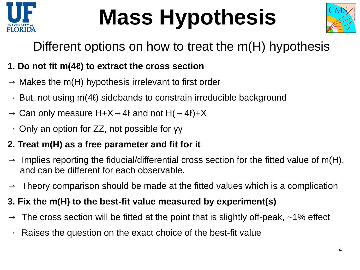

# **Mass Hypothesis**



#### Different options on how to treat the m(H) hypothesis

#### **1. Do not fit m(4ℓ) to extract the cross section**

- $\rightarrow$  Makes the m(H) hypothesis irrelevant to first order
- $\rightarrow$  But, not using m(4ℓ) sidebands to constrain irreducible background
- $\rightarrow$  Can only measure H+X  $\rightarrow$  4 $\ell$  and not H( $\rightarrow$  4 $\ell$ )+X
- $\rightarrow$  Only an option for ZZ, not possible for γγ

#### **2. Treat m(H) as a free parameter and fit for it**

- $\rightarrow$  Implies reporting the fiducial/differential cross section for the fitted value of m(H), and can be different for each observable.
- $\rightarrow$  Theory comparison should be made at the fitted values which is a complication

#### **3. Fix the m(H) to the best-fit value measured by experiment(s)**

- The cross section will be fitted at the point that is slightly off-peak,  $\sim$ 1% effect
- $\rightarrow$  Raises the question on the exact choice of the best-fit value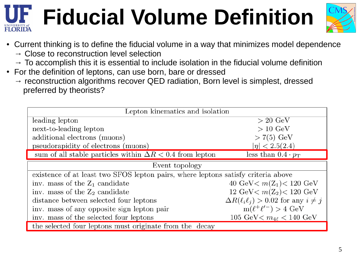# **Fiducial Volume Definition**



- Current thinking is to define the fiducial volume in a way that minimizes model dependence
	- $\rightarrow$  Close to reconstruction level selection
	- $\rightarrow$  To accomplish this it is essential to include isolation in the fiducial volume definition
- For the definition of leptons, can use born, bare or dressed
	- $\rightarrow$  reconstruction algorithms recover QED radiation, Born level is simplest, dressed preferred by theorists?

| Lepton kinematics and isolation                                                   |                                                     |  |  |  |  |
|-----------------------------------------------------------------------------------|-----------------------------------------------------|--|--|--|--|
| leading lepton                                                                    | $> 20 \text{ GeV}$                                  |  |  |  |  |
| next-to-leading lepton                                                            | $>10~\mathrm{GeV}$                                  |  |  |  |  |
| additional electrons (muons)                                                      | $>7(5)$ GeV                                         |  |  |  |  |
| pseudorapidity of electrons (muons)                                               | $ \eta  < 2.5(2.4)$                                 |  |  |  |  |
| sum of all stable particles within $\Delta R < 0.4$ from lepton                   | less than $0.4 \cdot p_{\rm T}$                     |  |  |  |  |
| Event topology                                                                    |                                                     |  |  |  |  |
| existence of at least two SFOS lepton pairs, where leptons satisfy criteria above |                                                     |  |  |  |  |
| inv. mass of the $Z_1$ candidate                                                  | 40 GeV $m(Z_1)$ < 120 GeV                           |  |  |  |  |
| inv. mass of the $Z_2$ candidate                                                  | 12 GeV < $m(Z_2)$ < 120 GeV                         |  |  |  |  |
| distance between selected four leptons                                            | $\Delta R(\ell_i \ell_j) > 0.02$ for any $i \neq j$ |  |  |  |  |
| inv. mass of any opposite sign lepton pair                                        | $m(\ell^+\ell'^-) > 4 \text{ GeV}$                  |  |  |  |  |
| inv. mass of the selected four leptons                                            | 105 GeV < $m_{4\ell}$ < 140 GeV                     |  |  |  |  |
| the selected four leptons must originate from the decay                           |                                                     |  |  |  |  |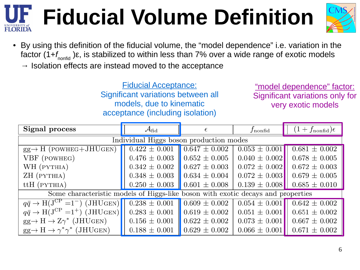# **Fiducial Volume Definition**



• By using this definition of the fiducial volume, the "model dependence" i.e. variation in the factor (1+*f<sub>nonfid</sub> )ε, is stabilized to within less than 7% over a wide range of exotic models*  $\rightarrow$  Isolation effects are instead moved to the acceptance

> Fiducial Acceptance: Significant variations between all models, due to kinematic acceptance (including isolation)

"model dependence" factor: Significant variations only for very exotic models

| Signal process                                                                                                    | $\mathcal{A}_{\rm fid}$               |                   | $J$ nonfid        | $(1+f_{\rm nonfid})\epsilon$ |
|-------------------------------------------------------------------------------------------------------------------|---------------------------------------|-------------------|-------------------|------------------------------|
| Individual Higgs boson production modes                                                                           |                                       |                   |                   |                              |
| $gg \rightarrow H$ (POWHEG+JHUGEN)                                                                                | $0.422 \pm 0.001$   $0.647 \pm 0.002$ |                   | $0.053 \pm 0.001$ | $0.681 \pm 0.002$            |
| VBF (POWHEG)                                                                                                      | $0.476 \pm 0.003$   $0.652 \pm 0.005$ |                   | $0.040 \pm 0.002$ | $0.678 \pm 0.005$            |
| WH (PYTHIA)                                                                                                       | $0.342 \pm 0.002$   $0.627 \pm 0.003$ |                   | $0.072 \pm 0.002$ | $0.672 \pm 0.003$            |
| ZH (PYTHIA)                                                                                                       | $0.348 \pm 0.003$   $0.634 \pm 0.004$ |                   | $0.072 \pm 0.003$ | $0.679 \pm 0.005$            |
| $ttH$ (PYTHIA)                                                                                                    | $0.250 \pm 0.003$   $0.601 \pm 0.008$ |                   | $0.139 \pm 0.008$ | $0.685 \pm 0.010$            |
| Some characteristic models of Higgs-like boson with exotic decays and properties                                  |                                       |                   |                   |                              |
| $q\bar{q} \rightarrow H(J^{CP} = 1^-)$ (JHUGEN) $\begin{bmatrix} 0.238 \pm 0.001 \end{bmatrix}$ 0.609 $\pm$ 0.002 |                                       |                   | $0.054 \pm 0.001$ | $0.642 \pm 0.002$            |
| $q\bar{q} \rightarrow H(J^{CP} = 1^+)$ (JHUGEN)                                                                   | $0.283 \pm 0.001$ 0.619 $\pm$ 0.002   |                   | $0.051 \pm 0.001$ | $0.651 \pm 0.002$            |
| $gg \to H \to Z\gamma^*$ (JHUGEN)                                                                                 | $0.156 \pm 0.001$ 0.622 $\pm$ 0.002   |                   | $0.073 \pm 0.001$ | $0.667 \pm 0.002$            |
| $gg \to H \to \gamma^* \gamma^*$ (JHUGEN)                                                                         | $0.188 \pm 0.001$                     | $0.629 \pm 0.002$ | $0.066 \pm 0.001$ | $0.671 \pm 0.002$            |